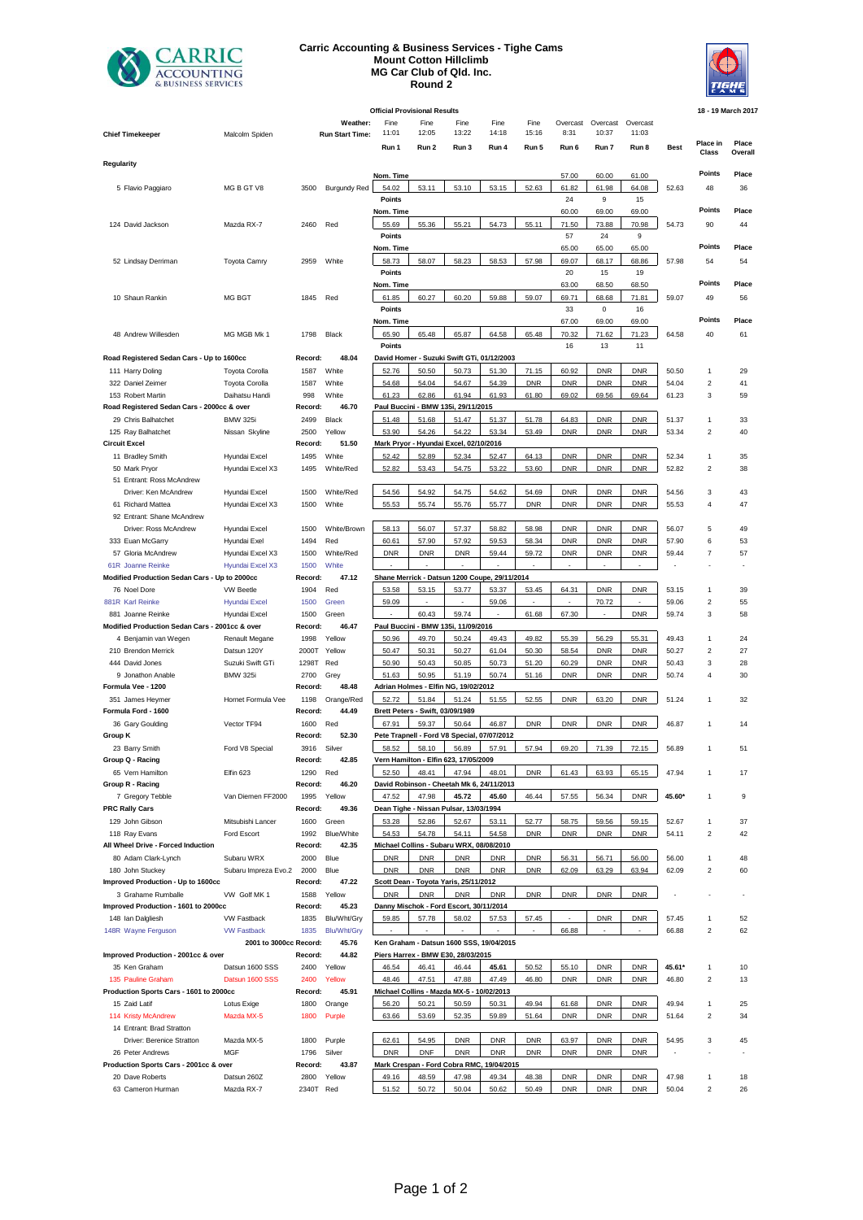

## **Carric Accounting & Business Services - Tighe Cams Mount Cotton Hillclimb MG Car Club of Qld. Inc. Round 2**



**Official Provisional Results 18 - 19 March 2017 Weather:** Fine Fine Fine Fine Fine Overcast Overcast Overcast Overcast Overcast Overcast Overcast Overcast Overcast Overcast Overcast Overcast Overcast over Fine Fine Fine Fine Fine Fine States over The Fine Fine States o **Chief Timekeeper Run Start Time:** 11:00 12:01 13:00 13:01 13:01 13:00 13:01 13:00 13:00 13:01 10:03 **Run 1 Run 2 Run 3 Run 4 Run 5 Run 6 Run 7 Run 8 Best Place in Class Place Overall Regularity Nom. Time** 57.00 60.00 61.00 **Points Place** 5 Flavio Paggiaro MG B GT V8 3500 Burgundy Red 54.02 53.11 53.10 53.15 52.63 61.82 61.98 64.08 52.63 48 36 **Points** 24 9 15 **Nom. Time** 60.00 69.00 69.00 **Points Place** 124 David Jackson Mazda RX-7 2460 Red 55.69 55.36 55.21 54.73 55.11 71.50 73.88 70.98 54.73 90 44 **Points** 57 24 9 **Nom. Time** 65.00 65.00 65.00 **Points Place** 52 Lindsay Derriman Toyota Camry 2959 White 58.73 58.07 58.23 58.53 57.98 69.07 68.17 68.86 57.98 54 54 **Points** 20 15 19 **Nom. Time** 63.00 68.50 68.50 **Points Place** 10 Shaun Rankin MG BGT 1845 Red 61.85 60.27 60.20 59.88 59.07 69.71 68.68 71.81 59.07 49 56 **Points 2018 Points 2018 2028 2028 2029 2029 2029 2029 2029 2029 2029 2029 2029 2029 2029 Nom. Time** 67.00 69.00 69.00 **Points Place** 48 Andrew Willesden MG MGB Mk 1 1798 Black 65.90 65.48 65.87 64.58 65.48 70.32 71.62 71.23 64.58 40 61 **Points** 16 13 11 **Road Registered Sedan Cars - Up to 1600cc Record: 48.04 David Homer - Suzuki Swift GTi, 01/12/2003** 111 Harry Doling Toyota Corolla 1587 White 52.76 50.50 50.73 51.30 71.15 60.92 DNR DNR 50.50 1 29 322 Daniel Zeimer Toyota Corolla 1587 White 54.68 54.04 54.67 54.39 DNR DNR DNR DNR 54.04 2 41 153 Robert Martin **Daihatsu Handi** 998 White **61.23 62.86 61.94 61.93 61.80 61.92 69.56 69.64 61.23 3 59 Road Registered Sedan Cars - 2000cc & over Record: 46.70 Paul Buccini - BMW 135i, 29/11/2015** 29 Chris Balhatchet BMW 325i 2499 Black 51.48 51.68 51.47 51.37 51.78 64.83 DNR DNR 51.37 1 33 125 Ray Balhatchet Nissan Skyline 2500 Yellow 53.90 | 54.26 | 53.34 | 53.49 | DNR | DNR | DNR | 53.34 40 **Circuit Excel**<br>**11 Bradley Smith Record: Record: Record: 51.50 Mark Pryor - Hyundai Excel**<br>**1495** White **62.42 52.89 52.34 52.524** 11 Bradley Smith Hyundai Excel 1495 White 52.42 52.89 52.34 52.47 64.13 DNR DNR DNR 52.34 1 35 50 Mark Pryor Hyundai Excel X3 1495 White/Red <u> 52.82 53.43 54.75 53.22 53.60 DNR DNR DNR 52.82 2 38</u> 51 Entrant: Ross McAndrew Driver: Ken McAndrew Hyundai Excel 1500 White/Red 54.56 54.92 54.75 54.62 54.69 DNR DNR DNR 54.56 3 43 61 Richard Mattea Hyundai Excel X3 1500 White | 55.53 55.74 55.77 | DNR | DNR | DNR | DNR | S5.53 47 92 Entrant: Shane McAndrew Driver: Ross McAndrew Hyundai Excel 1500 White/Brown 58.13 56.07 57.37 58.82 58.98 DNR DNR DNR 56.07 5 49 333 Euan McGarry Hyundai Exel 1494 Red 60.61 57.90 57.92 59.53 58.34 DNR DNR DNR 57.90 6 53 57 Gloria McAndrew Hyundai Excel X3 1500 White/Red DNR DNR DNR 59.44 59.72 DNR DNR DNR 59.44 7 57 61R Joanne Reinke Hyundai Excel X3 1500 White - - - - - - - - - - - **Modified Production Sedan Cars - Up to 2000cc Record: 47.12 Shane Merrick - Datsun 1200 Coupe, 29/11/2014** 76 Noel Dore VW Beetle 1904 Red 53.58 53.15 53.77 53.37 53.45 64.31 DNR DNR 53.15 1 39 881R Karl Reinke Hyundai Excel 1500 Green 59.09 - - 59.06 - - 70.72 - 59.06 2 55 881 Joanne Reinke Hyundai Excel 1500 Green 60.43 59.74 61.68 67.30 DNR 58.74 58 **Modified Production Sedan Cars - 2001cc & over Record: 46.47 Paul Buccini - BMW 135i, 11/09/2016** 4 Benjamin van Wegen Renault Megane 1998 Yellow 50.96 49.70 50.24 49.43 49.82 55.39 56.29 55.31 49.43 1 24 210 Brendon Merrick Datsun 120Y 2000T Yellow 50.47 50.31 50.27 61.04 50.30 58.54 DNR DNR 50.27 2 27 444 David Jones Suzuki Swift GTi 1298T Red 50.90 50.43 50.85 50.73 51.20 60.29 DNR DNR 50.43 3 28 9 Jonathon Anable BMW 325i 2700 Grey 51.63 50.95 51.19 50.74 51.16 DNR DNR DNR 50.74 4 30 **Formula Vee - 1200 Record: 48.48 Adrian Holmes - Elfin NG, 19/02/2012** 351 James Heymer Hornet Formula Vee 1198 Orange/Red 52.72 51.84 51.24 51.55 52.55 DNR 63.20 DNR 51.24 1 32 **Formula Ford - 1600 Record: 44.49 Brett Peters - Swift, 03/09/1989** 36 Gary Goulding Vector TF94 1600 Red 67.91 59.37 50.64 46.87 DNR DNR DNR DNR 46.87 1 14 **Group K Record: 52.30 Pete Trapnell - Ford V8 Special, 07/07/2012** 23 Barry Smith Ford V8 Special 3916 Silver 58.52 58.10 56.89 57.91 57.94 69.20 71.39 72.15 56.89 1 51 **Group Q - Racing Record: 42.85 Vern Hamilton - Elfin 623, 17/05/2009** 65 Vern Hamilton Elfin 623 1290 Red 52.50 48.41 47.94 48.01 DNR 61.43 63.93 65.15 47.94 1 17 **Group R - Racing Record: 46.20 David Robinson - Cheetah Mk 6, 24/11/2013** 7 Gregory Tebble Van Diemen FF2000 1995 Yellow 47.52 47.98 **45.72 45.60** 46.44 57.55 56.34 DNR **45.60\*** 1 9 **PRC Rally Cars Record: 49.36 Dean Tighe - Nissan Pulsar, 13/03/1994** 129 John Gibson Mitsubishi Lancer 1600 Green 53.28 | 52.67 | 53.11 | 52.77 | 58.75 | 59.56 | 59.15 | 52.67 37 118 Ray Evans Ford Escort 1992 Blue/White 54.53 54.78 54.11 54.58 DNR DNR DNR DNR 54.11 2 42 **All Wheel Drive - Forced Induction Record: 42.35 Michael Collins - Subaru WRX, 08/08/2010** 80 Adam Clark-Lynch Subaru WRX 2000 Blue DNR DNR DNR DNR DNR 56.31 56.71 56.00 56.00 1 48<br>180 John Stuckey Subaru Impreza Evo.2 2000 Blue DNR DNR DNR DNR DNR 62.09 63.29 63.34 62.09 2 60 180 John Stuckey Subaru Impreza Evo.2 2000 Blue DNR DNR DNR DNR DNR 62.09 63.29 63.34 62.09 2 60<br>Improved Production - Up to 1600cc **Record: 47.22 <u>Scott Dean - Toyota Yaris, 25/11/2012</u>** Record: 47.22 **Scott Dean - Toyota Yaris, 25/11/2012** 3 Grahame Rumballe VW Golf MK 1 1588 Yellow DNR DNR DNR DNR DNR DNR DNR DNR DNR **Improved Production - 1601 to 2000cc Record: 45.23 Danny Mischok - Ford Escort, 30/11/2014** 148 Ian Dalgliesh VW Fastback 1835 Blu/Wht/Gry 59.85 57.78 58.02 57.53 57.45 - DNR DNR 57.45 1 52 148R Wayne Ferguson VW Fastback 1835 Blu/Wht/Gry - - - - - 66.88 - - 66.88 2 62 **2001 to 3000cc Record: 45.76 Ken Graham - Datsun 1600 SSS, 19/04/2015 Improved Production - 2001cc & over Record: 44.82 Piers Harrex - BMW E30, 28/03/2015** 35 Ken Graham Datsun 1600 SSS 2400 Yellow 46.54 46.41 46.44 **45.61** 50.52 55.10 DNR DNR **45.61\*** 1 10 135 Pauline Graham Datsun 1600 SSS 2400 Yellow 48.46 47.51 47.88 47.49 46.80 DNR DNR DNR 46.80 2 13 **Production Sports Cars - 1601 to 2000cc Record: 45.91 Michael Collins - Mazda MX-5 - 10/02/2013** 15 Zaid Latif Lotus Exige 1800 Orange 56.20 50.21 50.59 50.31 49.94 61.68 DNR DNR 49.94 1 25 114 Kristy McAndrew Mazda MX-5 1800 Purple 63.66 53.69 52.35 59.89 51.64 DNR DNR DNR 51.64 2 34 14 Entrant: Brad Stratton Driver: Berenice Stratton Mazda MX-5 1800 Purple | 62.61 | 54.95 | DNR | DNR | DNR | 63.97 | DNR | DNR | 54.95 3 45 26 Peter Andrews MGF 1796 Silver DNR DNF DNR DNR DNR DNR DNR DNR - - - **Production Sports Cars - 2001cc & over Record: 43.87 Mark Crespan - Ford Cobra RMC, 19/04/2015** 20 Dave Roberts Datsun 260Z 2800 Yellow 49.16 48.59 47.98 49.34 48.38 DNR DNR DNR 47.98 1 18 63 Cameron Hurman Mazda RX-7 2340T Red 51.52 50.72 50.04 50.62 50.49 DNR DNR DNR 50.04 2 26